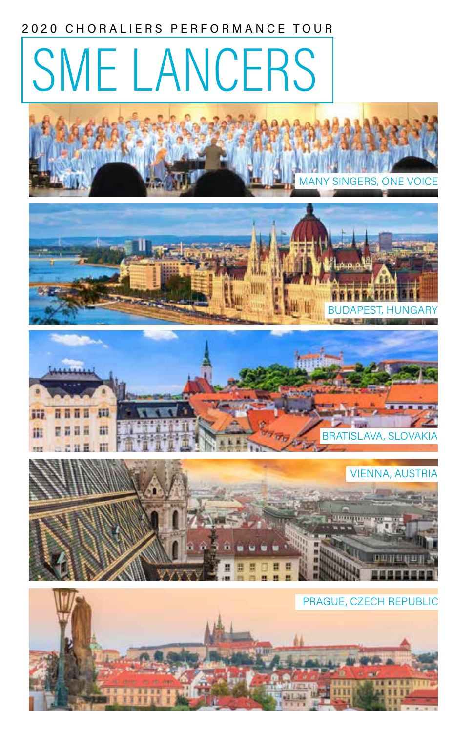### 2020 CHORALIERS PERFORMANCE TOUR

# SME LANCERS









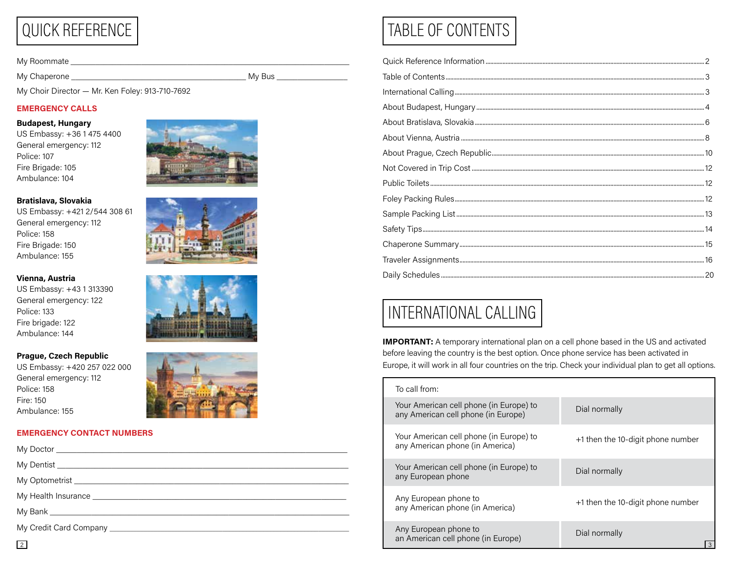# QUICK REFERENCE

My Roommate \_\_\_\_\_\_\_\_\_\_\_\_\_\_\_\_\_\_\_\_\_\_\_\_\_\_\_\_\_\_\_\_\_\_\_\_\_\_\_\_\_\_\_\_\_\_\_\_\_\_\_\_\_\_\_\_\_\_\_\_\_\_\_\_\_\_\_

My Chaperone \_\_\_\_\_\_\_\_\_\_\_\_\_\_\_\_\_\_\_\_\_\_\_\_\_\_\_\_\_\_\_\_\_\_\_\_\_\_\_\_\_\_ My Bus \_\_\_\_\_\_\_\_\_\_\_\_\_\_\_\_\_

My Choir Director — Mr. Ken Foley: 913-710-7692

#### EMERGENCY CALLS

#### Budapest, Hungary

US Embassy: +36 1 475 4400 General emergency: 112 Police: 107 Fire Brigade: 105 Ambulance: 104

#### Bratislava, Slovakia

US Embassy: +421 2/544 308 61 General emergency: 112 Police: 158 Fire Brigade: 150 Ambulance: 155

#### Vienna, Austria

US Embassy: +43 1 313390 General emergency: 122 Police: 133 Fire brigade: 122 Ambulance: 144

#### Prague, Czech Republic

US Embassy: +420 257 022 000 General emergency: 112 Police: 158 Fire: 150 Ambulance: 155

#### EMERGENCY CONTACT NUMBERS









# TABLE OF CONTENTS

# INTERNATIONAL CALLING

**IMPORTANT:** A temporary international plan on a cell phone based in the US and activated before leaving the country is the best option. Once phone service has been activated in Europe, it will work in all four countries on the trip. Check your individual plan to get all options.

| To call from:                                                                  |                                   |
|--------------------------------------------------------------------------------|-----------------------------------|
| Your American cell phone (in Europe) to<br>any American cell phone (in Europe) | Dial normally                     |
| Your American cell phone (in Europe) to<br>any American phone (in America)     | +1 then the 10-digit phone number |
| Your American cell phone (in Europe) to<br>any European phone                  | Dial normally                     |
| Any European phone to<br>any American phone (in America)                       | +1 then the 10-digit phone number |
| Any European phone to<br>an American cell phone (in Europe)                    | Dial normally                     |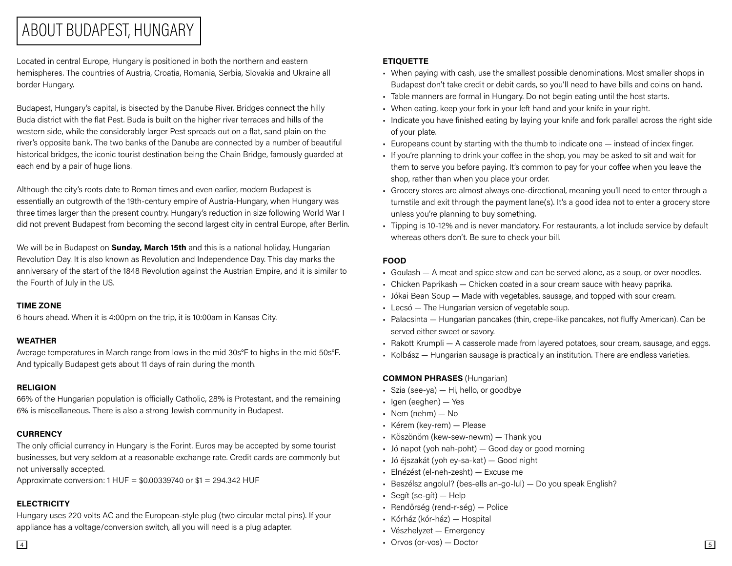### ABOUT BUDAPEST, HUNGARY

Located in central Europe, Hungary is positioned in both the northern and eastern hemispheres. The countries of Austria, Croatia, Romania, Serbia, Slovakia and Ukraine all border Hungary.

Budapest, Hungary's capital, is bisected by the Danube River. Bridges connect the hilly Buda district with the flat Pest. Buda is built on the higher river terraces and hills of the western side, while the considerably larger Pest spreads out on a flat, sand plain on the river's opposite bank. The two banks of the Danube are connected by a number of beautiful historical bridges, the iconic tourist destination being the Chain Bridge, famously guarded at each end by a pair of huge lions.

Although the city's roots date to Roman times and even earlier, modern Budapest is essentially an outgrowth of the 19th-century empire of Austria-Hungary, when Hungary was three times larger than the present country. Hungary's reduction in size following World War I did not prevent Budapest from becoming the second largest city in central Europe, after Berlin.

We will be in Budapest on **Sunday, March 15th** and this is a national holiday, Hungarian Revolution Day. It is also known as Revolution and Independence Day. This day marks the anniversary of the start of the 1848 Revolution against the Austrian Empire, and it is similar to the Fourth of July in the US.

#### TIME ZONE

6 hours ahead. When it is 4:00pm on the trip, it is 10:00am in Kansas City.

#### WEATHER

Average temperatures in March range from lows in the mid 30s°F to highs in the mid 50s°F. And typically Budapest gets about 11 days of rain during the month.

### RELIGION

66% of the Hungarian population is officially Catholic, 28% is Protestant, and the remaining 6% is miscellaneous. There is also a strong Jewish community in Budapest.

### **CURRENCY**

The only official currency in Hungary is the Forint. Euros may be accepted by some tourist businesses, but very seldom at a reasonable exchange rate. Credit cards are commonly but not universally accepted.

Approximate conversion: 1 HUF = \$0.00339740 or \$1 = 294.342 HUF

### **ELECTRICITY**

Hungary uses 220 volts AC and the European-style plug (two circular metal pins). If your appliance has a voltage/conversion switch, all you will need is a plug adapter.

### **ETIQUETTE**

- When paying with cash, use the smallest possible denominations. Most smaller shops in Budapest don't take credit or debit cards, so you'll need to have bills and coins on hand.
- Table manners are formal in Hungary. Do not begin eating until the host starts.
- When eating, keep your fork in your left hand and your knife in your right.
- Indicate you have finished eating by laying your knife and fork parallel across the right side of your plate.
- Europeans count by starting with the thumb to indicate one instead of index finger.
- If you're planning to drink your coffee in the shop, you may be asked to sit and wait for them to serve you before paying. It's common to pay for your coffee when you leave the shop, rather than when you place your order.
- Grocery stores are almost always one-directional, meaning you'll need to enter through a turnstile and exit through the payment lane(s). It's a good idea not to enter a grocery store unless you're planning to buy something.
- Tipping is 10-12% and is never mandatory. For restaurants, a lot include service by default whereas others don't. Be sure to check your bill.

### FOOD

- Goulash A meat and spice stew and can be served alone, as a soup, or over noodles.
- Chicken Paprikash Chicken coated in a sour cream sauce with heavy paprika.
- Jókai Bean Soup Made with vegetables, sausage, and topped with sour cream.
- Lecsó The Hungarian version of vegetable soup.
- Palacsinta Hungarian pancakes (thin, crepe-like pancakes, not fluffy American). Can be served either sweet or savory.
- Rakott Krumpli A casserole made from layered potatoes, sour cream, sausage, and eggs.
- Kolbász Hungarian sausage is practically an institution. There are endless varieties.

### COMMON PHRASES (Hungarian)

- Szia (see-ya)  $-$  Hi, hello, or goodbye
- Igen (eeghen) Yes
- Nem (nehm) No
- Kérem (key-rem) Please
- Köszönöm (kew-sew-newm) Thank you
- Jó napot (yoh nah-poht) Good day or good morning
- Jó éjszakát (yoh ey-sa-kat) Good night
- Elnézést (el-neh-zesht) Excuse me
- Beszélsz angolul? (bes-ells an-go-lul) Do you speak English?
- Segít (se-gít) Help
- Rendörség (rend-r-ség) Police
- Kórház (kór-ház) Hospital
- Vészhelyzet Emergency
- $\frac{4}{14}$  Orvos (or-vos) Doctor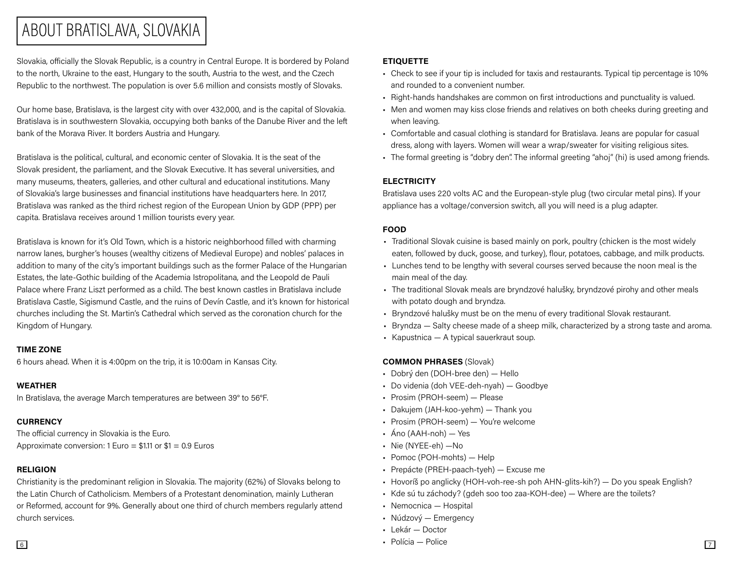### ABOUT BRATISLAVA, SLOVAKIA

Slovakia, officially the Slovak Republic, is a country in Central Europe. It is bordered by Poland to the north, Ukraine to the east, Hungary to the south, Austria to the west, and the Czech Republic to the northwest. The population is over 5.6 million and consists mostly of Slovaks.

Our home base, Bratislava, is the largest city with over 432,000, and is the capital of Slovakia. Bratislava is in southwestern Slovakia, occupying both banks of the Danube River and the left bank of the Morava River. It borders Austria and Hungary.

Bratislava is the political, cultural, and economic center of Slovakia. It is the seat of the Slovak president, the parliament, and the Slovak Executive. It has several universities, and many museums, theaters, galleries, and other cultural and educational institutions. Many of Slovakia's large businesses and financial institutions have headquarters here. In 2017, Bratislava was ranked as the third richest region of the European Union by GDP (PPP) per capita. Bratislava receives around 1 million tourists every year.

Bratislava is known for it's Old Town, which is a historic neighborhood filled with charming narrow lanes, burgher's houses (wealthy citizens of Medieval Europe) and nobles' palaces in addition to many of the city's important buildings such as the former Palace of the Hungarian Estates, the late-Gothic building of the Academia Istropolitana, and the Leopold de Pauli Palace where Franz Liszt performed as a child. The best known castles in Bratislava include Bratislava Castle, Sigismund Castle, and the ruins of Devín Castle, and it's known for historical churches including the St. Martin's Cathedral which served as the coronation church for the Kingdom of Hungary.

#### TIME ZONE

6 hours ahead. When it is 4:00pm on the trip, it is 10:00am in Kansas City.

#### WEATHER

In Bratislava, the average March temperatures are between 39° to 56°F.

### **CURRENCY**

The official currency in Slovakia is the Euro. Approximate conversion:  $1 \text{ Euro} = $1.11 \text{ or } $1 = 0.9 \text{ Euros}$ 

### RELIGION

Christianity is the predominant religion in Slovakia. The majority (62%) of Slovaks belong to the Latin Church of Catholicism. Members of a Protestant denomination, mainly Lutheran or Reformed, account for 9%. Generally about one third of church members regularly attend church services.

### ETIQUETTE

- Check to see if your tip is included for taxis and restaurants. Typical tip percentage is 10% and rounded to a convenient number.
- Right-hands handshakes are common on first introductions and punctuality is valued.
- Men and women may kiss close friends and relatives on both cheeks during greeting and when leaving.
- Comfortable and casual clothing is standard for Bratislava. Jeans are popular for casual dress, along with layers. Women will wear a wrap/sweater for visiting religious sites.
- The formal greeting is "dobry den". The informal greeting "ahoj" (hi) is used among friends.

### **ELECTRICITY**

Bratislava uses 220 volts AC and the European-style plug (two circular metal pins). If your appliance has a voltage/conversion switch, all you will need is a plug adapter.

### FOOD

- Traditional Slovak cuisine is based mainly on pork, poultry (chicken is the most widely eaten, followed by duck, goose, and turkey), flour, potatoes, cabbage, and milk products.
- Lunches tend to be lengthy with several courses served because the noon meal is the main meal of the day.
- The traditional Slovak meals are bryndzové halušky, bryndzové pirohy and other meals with potato dough and bryndza.
- Bryndzové halušky must be on the menu of every traditional Slovak restaurant.
- Bryndza Salty cheese made of a sheep milk, characterized by a strong taste and aroma.
- Kapustnica A typical sauerkraut soup.

### COMMON PHRASES (Slovak)

- Dobrý den (DOH-bree den) Hello
- Do videnia (doh VEE-deh-nyah) Goodbye
- Prosim (PROH-seem) Please
- Dakujem (JAH-koo-yehm) Thank you
- Prosim (PROH-seem) You're welcome
- Áno (AAH-noh) Yes
- Nie (NYEE-eh) —No
- Pomoc (POH-mohts) Help
- Prepácte (PREH-paach-tyeh) Excuse me
- Hovoríš po anglicky (HOH-voh-ree-sh poh AHN-glits-kih?) Do you speak English?
- Kde sú tu záchody? (gdeh soo too zaa-KOH-dee) Where are the toilets?
- Nemocnica Hospital
- Núdzový Emergency
- Lekár Doctor
- $\overline{6}$  Polícia Polícia Políce  $\overline{7}$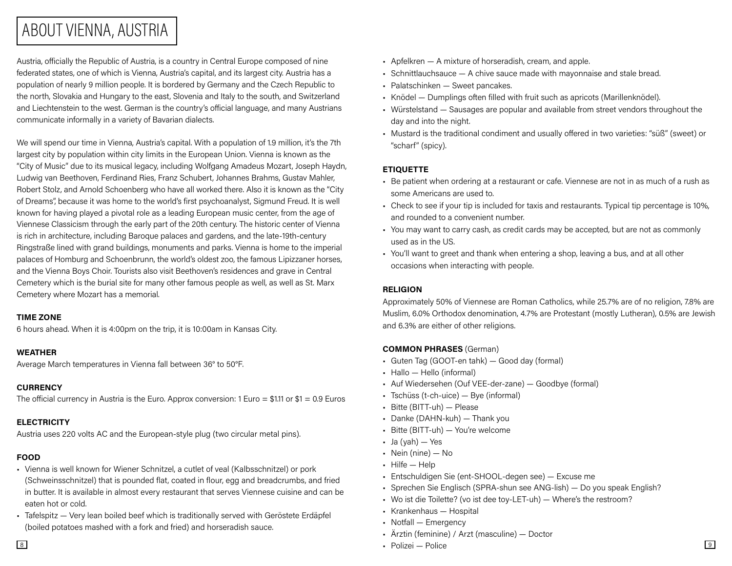## ABOUT VIENNA, AUSTRIA

Austria, officially the Republic of Austria, is a country in Central Europe composed of nine federated states, one of which is Vienna, Austria's capital, and its largest city. Austria has a population of nearly 9 million people. It is bordered by Germany and the Czech Republic to the north, Slovakia and Hungary to the east, Slovenia and Italy to the south, and Switzerland and Liechtenstein to the west. German is the country's official language, and many Austrians communicate informally in a variety of Bavarian dialects.

We will spend our time in Vienna, Austria's capital. With a population of 1.9 million, it's the 7th largest city by population within city limits in the European Union. Vienna is known as the "City of Music" due to its musical legacy, including Wolfgang Amadeus Mozart, Joseph Haydn, Ludwig van Beethoven, Ferdinand Ries, Franz Schubert, Johannes Brahms, Gustav Mahler, Robert Stolz, and Arnold Schoenberg who have all worked there. Also it is known as the "City of Dreams", because it was home to the world's first psychoanalyst, Sigmund Freud. It is well known for having played a pivotal role as a leading European music center, from the age of Viennese Classicism through the early part of the 20th century. The historic center of Vienna is rich in architecture, including Baroque palaces and gardens, and the late-19th-century Ringstraße lined with grand buildings, monuments and parks. Vienna is home to the imperial palaces of Homburg and Schoenbrunn, the world's oldest zoo, the famous Lipizzaner horses, and the Vienna Boys Choir. Tourists also visit Beethoven's residences and grave in Central Cemetery which is the burial site for many other famous people as well, as well as St. Marx Cemetery where Mozart has a memorial.

#### TIME ZONE

6 hours ahead. When it is 4:00pm on the trip, it is 10:00am in Kansas City.

#### WEATHER

Average March temperatures in Vienna fall between 36° to 50°F.

#### **CURRENCY**

The official currency in Austria is the Euro. Approx conversion:  $1$  Euro = \$1.11 or \$1 = 0.9 Euros

#### **ELECTRICITY**

Austria uses 220 volts AC and the European-style plug (two circular metal pins).

#### FOOD

- Vienna is well known for Wiener Schnitzel, a cutlet of veal (Kalbsschnitzel) or pork (Schweinsschnitzel) that is pounded flat, coated in flour, egg and breadcrumbs, and fried in butter. It is available in almost every restaurant that serves Viennese cuisine and can be eaten hot or cold.
- Tafelspitz Very lean boiled beef which is traditionally served with Geröstete Erdäpfel (boiled potatoes mashed with a fork and fried) and horseradish sauce.
- Apfelkren A mixture of horseradish, cream, and apple.
- Schnittlauchsauce A chive sauce made with mayonnaise and stale bread.
- Palatschinken Sweet pancakes.
- Knödel Dumplings often filled with fruit such as apricots (Marillenknödel).
- Würstelstand Sausages are popular and available from street vendors throughout the day and into the night.
- Mustard is the traditional condiment and usually offered in two varieties: "süß" (sweet) or "scharf" (spicy).

#### **ETIQUETTE**

- Be patient when ordering at a restaurant or cafe. Viennese are not in as much of a rush as some Americans are used to.
- Check to see if your tip is included for taxis and restaurants. Typical tip percentage is 10%, and rounded to a convenient number.
- You may want to carry cash, as credit cards may be accepted, but are not as commonly used as in the US.
- You'll want to greet and thank when entering a shop, leaving a bus, and at all other occasions when interacting with people.

#### RELIGION

Approximately 50% of Viennese are Roman Catholics, while 25.7% are of no religion, 7.8% are Muslim, 6.0% Orthodox denomination, 4.7% are Protestant (mostly Lutheran), 0.5% are Jewish and 6.3% are either of other religions.

#### COMMON PHRASES (German)

- Guten Tag (GOOT-en tahk) Good day (formal)
- Hallo Hello (informal)
- Auf Wiedersehen (Ouf VEE-der-zane) Goodbye (formal)
- Tschüss (t-ch-uice) Bye (informal)
- Bitte (BITT-uh) Please
- Danke (DAHN-kuh) Thank you
- Bitte (BITT-uh) You're welcome
- $\bullet$  Ja (yah)  $-$  Yes
- Nein (nine) No
- Hilfe Help
- Entschuldigen Sie (ent-SHOOL-degen see) Excuse me
- Sprechen Sie Englisch (SPRA-shun see ANG-lish) Do you speak English?
- Wo ist die Toilette? (vo ist dee toy-LET-uh) Where's the restroom?
- Krankenhaus Hospital
- Notfall Emergency
- Ärztin (feminine) / Arzt (masculine) Doctor
- 8 Polizei Police 9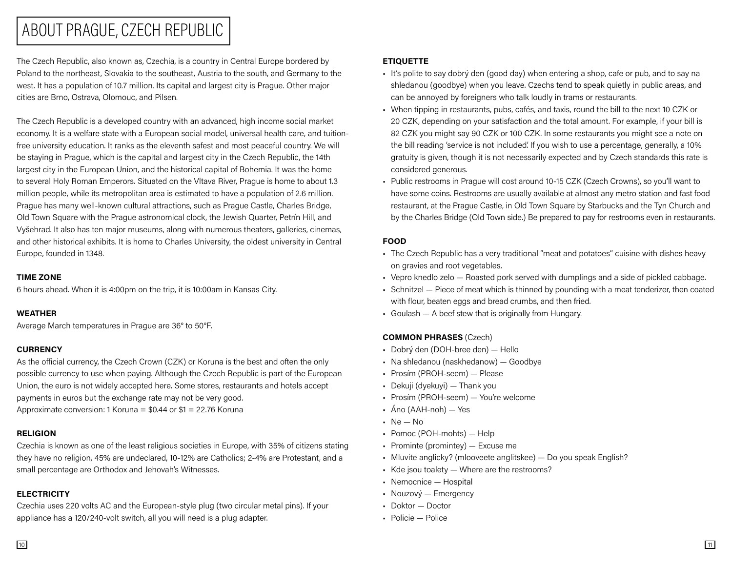### ABOUT PRAGUE, CZECH REPUBLIC

The Czech Republic, also known as, Czechia, is a country in Central Europe bordered by Poland to the northeast, Slovakia to the southeast, Austria to the south, and Germany to the west. It has a population of 10.7 million. Its capital and largest city is Prague. Other major cities are Brno, Ostrava, Olomouc, and Pilsen.

The Czech Republic is a developed country with an advanced, high income social market economy. It is a welfare state with a European social model, universal health care, and tuitionfree university education. It ranks as the eleventh safest and most peaceful country. We will be staying in Prague, which is the capital and largest city in the Czech Republic, the 14th largest city in the European Union, and the historical capital of Bohemia. It was the home to several Holy Roman Emperors. Situated on the Vltava River, Prague is home to about 1.3 million people, while its metropolitan area is estimated to have a population of 2.6 million. Prague has many well-known cultural attractions, such as Prague Castle, Charles Bridge, Old Town Square with the Prague astronomical clock, the Jewish Quarter, Petrín Hill, and Vyšehrad. It also has ten major museums, along with numerous theaters, galleries, cinemas, and other historical exhibits. It is home to Charles University, the oldest university in Central Europe, founded in 1348.

#### TIME ZONE

6 hours ahead. When it is 4:00pm on the trip, it is 10:00am in Kansas City.

#### WEATHER

Average March temperatures in Prague are 36° to 50°F.

#### **CURRENCY**

As the official currency, the Czech Crown (CZK) or Koruna is the best and often the only possible currency to use when paying. Although the Czech Republic is part of the European Union, the euro is not widely accepted here. Some stores, restaurants and hotels accept payments in euros but the exchange rate may not be very good. Approximate conversion: 1 Koruna =  $$0.44$  or  $$1 = 22.76$  Koruna

#### RELIGION

Czechia is known as one of the least religious societies in Europe, with 35% of citizens stating they have no religion, 45% are undeclared, 10-12% are Catholics; 2-4% are Protestant, and a small percentage are Orthodox and Jehovah's Witnesses.

#### **ELECTRICITY**

Czechia uses 220 volts AC and the European-style plug (two circular metal pins). If your appliance has a 120/240-volt switch, all you will need is a plug adapter.

#### ETIQUETTE

- It's polite to say dobrý den (good day) when entering a shop, cafe or pub, and to say na shledanou (goodbye) when you leave. Czechs tend to speak quietly in public areas, and can be annoyed by foreigners who talk loudly in trams or restaurants.
- When tipping in restaurants, pubs, cafés, and taxis, round the bill to the next 10 CZK or 20 CZK, depending on your satisfaction and the total amount. For example, if your bill is 82 CZK you might say 90 CZK or 100 CZK. In some restaurants you might see a note on the bill reading 'service is not included'. If you wish to use a percentage, generally, a 10% gratuity is given, though it is not necessarily expected and by Czech standards this rate is considered generous.
- Public restrooms in Prague will cost around 10-15 CZK (Czech Crowns), so you'll want to have some coins. Restrooms are usually available at almost any metro station and fast food restaurant, at the Prague Castle, in Old Town Square by Starbucks and the Tyn Church and by the Charles Bridge (Old Town side.) Be prepared to pay for restrooms even in restaurants.

#### FOOD

- The Czech Republic has a very traditional "meat and potatoes" cuisine with dishes heavy on gravies and root vegetables.
- Vepro knedlo zelo Roasted pork served with dumplings and a side of pickled cabbage.
- Schnitzel Piece of meat which is thinned by pounding with a meat tenderizer, then coated with flour, beaten eggs and bread crumbs, and then fried.
- Goulash A beef stew that is originally from Hungary.

#### COMMON PHRASES (Czech)

- Dobrý den (DOH-bree den) Hello
- Na shledanou (naskhedanow) Goodbye
- Prosím (PROH-seem) Please
- Dekuji (dyekuyi) Thank you
- Prosím (PROH-seem) You're welcome
- Áno (AAH-noh) Yes
- Ne No
- Pomoc (POH-mohts) Help
- Prominte (promintey) Excuse me
- Mluvite anglicky? (mlooveete anglitskee) Do you speak English?
- Kde jsou toalety Where are the restrooms?
- Nemocnice Hospital
- Nouzový Emergency
- Doktor Doctor
- Policie Police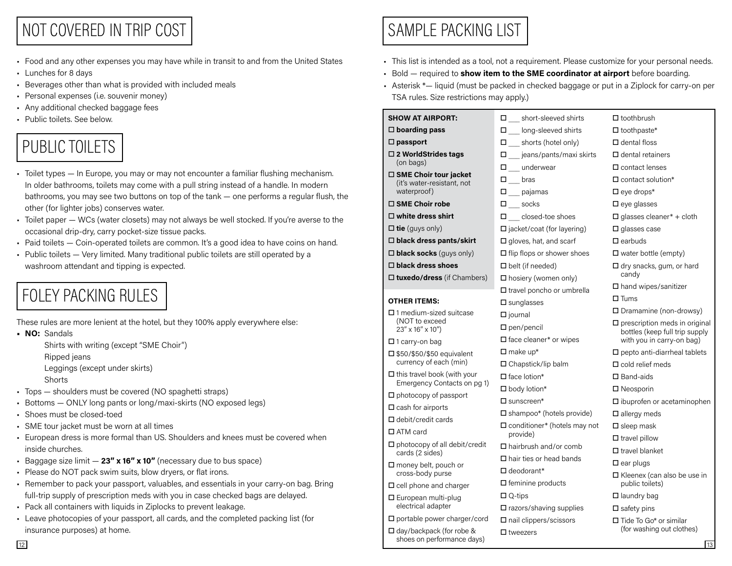## NOT COVERED IN TRIP COST

- Food and any other expenses you may have while in transit to and from the United States
- Lunches for 8 days
- Beverages other than what is provided with included meals
- Personal expenses (i.e. souvenir money)
- Any additional checked baggage fees
- Public toilets. See below.

# PUBLIC TOILETS

- Toilet types In Europe, you may or may not encounter a familiar flushing mechanism. In older bathrooms, toilets may come with a pull string instead of a handle. In modern bathrooms, you may see two buttons on top of the tank — one performs a regular flush, the other (for lighter jobs) conserves water.
- Toilet paper WCs (water closets) may not always be well stocked. If you're averse to the occasional drip-dry, carry pocket-size tissue packs.
- Paid toilets Coin-operated toilets are common. It's a good idea to have coins on hand.
- Public toilets Very limited. Many traditional public toilets are still operated by a washroom attendant and tipping is expected.

# FOLEY PACKING RULES

• NO: Sandals

- Ripped jeans
- Leggings (except under skirts)
- Shorts
- Tops shoulders must be covered (NO spaghetti straps)
- Bottoms ONLY long pants or long/maxi-skirts (NO exposed legs)
- Shoes must be closed-toed
- SME tour jacket must be worn at all times
- European dress is more formal than US. Shoulders and knees must be covered when inside churches.
- Baggage size limit  $-23''$  x 16" x 10" (necessary due to bus space)
- Please do NOT pack swim suits, blow dryers, or flat irons.
- Remember to pack your passport, valuables, and essentials in your carry-on bag. Bring full-trip supply of prescription meds with you in case checked bags are delayed.
- Pack all containers with liquids in Ziplocks to prevent leakage.
- Leave photocopies of your passport, all cards, and the completed packing list (for insurance purposes) at home.

# SAMPLE PACKING LIST

- This list is intended as a tool, not a requirement. Please customize for your personal needs.
- Bold required to show item to the SME coordinator at airport before boarding.
- Asterisk \*— liquid (must be packed in checked baggage or put in a Ziplock for carry-on per TSA rules. Size restrictions may apply.)

| Any additional checked baggage rees                                                                                                                                             |                                                         |                                   |                                                                           |
|---------------------------------------------------------------------------------------------------------------------------------------------------------------------------------|---------------------------------------------------------|-----------------------------------|---------------------------------------------------------------------------|
| Public toilets. See below.                                                                                                                                                      | <b>SHOW AT AIRPORT:</b>                                 | Short-sleeved shirts              | $\Box$ toothbrush                                                         |
|                                                                                                                                                                                 | $\Box$ boarding pass                                    | $\Box$ long-sleeved shirts        | $\Box$ toothpaste*                                                        |
| PUBLIC TOILETS                                                                                                                                                                  | $\square$ passport                                      | $\Box$ shorts (hotel only)        | $\Box$ dental floss                                                       |
|                                                                                                                                                                                 | □ 2 WorldStrides tags                                   | $\Box$<br>jeans/pants/maxi skirts | $\Box$ dental retainers                                                   |
|                                                                                                                                                                                 | (on bags)                                               | $\Box$ underwear                  | $\square$ contact lenses                                                  |
| Toilet types — In Europe, you may or may not encounter a familiar flushing mechanism.<br>In older bathrooms, toilets may come with a pull string instead of a handle. In modern | □ SME Choir tour jacket<br>(it's water-resistant, not   | $\square$ bras                    | $\Box$ contact solution*                                                  |
| bathrooms, you may see two buttons on top of the tank - one performs a regular flush, the                                                                                       | waterproof)                                             | $\square$ pajamas                 | $\square$ eye drops*                                                      |
| other (for lighter jobs) conserves water.                                                                                                                                       | $\Box$ SME Choir robe                                   | $\square$ socks                   | $\square$ eye glasses                                                     |
| Toilet paper - WCs (water closets) may not always be well stocked. If you're averse to the                                                                                      | $\Box$ white dress shirt                                | $\square$ closed-toe shoes        | $\Box$ glasses cleaner* + cloth                                           |
| occasional drip-dry, carry pocket-size tissue packs.                                                                                                                            | $\square$ tie (guys only)                               | □ jacket/coat (for layering)      | $\square$ glasses case                                                    |
| Paid toilets - Coin-operated toilets are common. It's a good idea to have coins on hand.                                                                                        | □ black dress pants/skirt                               | $\Box$ gloves, hat, and scarf     | $\Box$ earbuds                                                            |
| Public toilets - Very limited. Many traditional public toilets are still operated by a                                                                                          | $\Box$ black socks (guys only)                          | $\Box$ flip flops or shower shoes | $\Box$ water bottle (empty)                                               |
| washroom attendant and tipping is expected.                                                                                                                                     | $\Box$ black dress shoes                                | $\Box$ belt (if needed)           | □ dry snacks, gum, or hard                                                |
|                                                                                                                                                                                 | $\Box$ tuxedo/dress (if Chambers)                       | $\Box$ hosiery (women only)       | candy                                                                     |
| <b>FOLEY PACKING RULES</b>                                                                                                                                                      |                                                         | $\Box$ travel poncho or umbrella  | □ hand wipes/sanitizer                                                    |
|                                                                                                                                                                                 | <b>OTHER ITEMS:</b>                                     | $\square$ sunglasses              | $\square$ Tums                                                            |
|                                                                                                                                                                                 | $\square$ 1 medium-sized suitcase                       | $\square$ journal                 | $\Box$ Dramamine (non-drowsy)                                             |
| These rules are more lenient at the hotel, but they 100% apply everywhere else:                                                                                                 | (NOT to exceed<br>$23'' \times 16'' \times 10'$         | $\Box$ pen/pencil                 | $\square$ prescription meds in original<br>bottles (keep full trip supply |
| NO: Sandals                                                                                                                                                                     | $\square$ 1 carry-on bag                                | $\square$ face cleaner* or wipes  | with you in carry-on bag)                                                 |
| Shirts with writing (except "SME Choir")                                                                                                                                        | $\square$ \$50/\$50/\$50 equivalent                     | $\Box$ make up*                   | $\square$ pepto anti-diarrheal tablets                                    |
| Ripped jeans<br>Leggings (except under skirts)                                                                                                                                  | currency of each (min)                                  | $\Box$ Chapstick/lip balm         | $\Box$ cold relief meds                                                   |
| Shorts                                                                                                                                                                          | $\square$ this travel book (with your                   | $\Box$ face lotion*               | $\square$ Band-aids                                                       |
| Tops - shoulders must be covered (NO spaghetti straps)                                                                                                                          | Emergency Contacts on pg 1)                             | $\Box$ body lotion*               | $\Box$ Neosporin                                                          |
| Bottoms - ONLY long pants or long/maxi-skirts (NO exposed legs)                                                                                                                 | $\Box$ photocopy of passport                            | $\square$ sunscreen*              | $\square$ ibuprofen or acetaminophen                                      |
| Shoes must be closed-toed                                                                                                                                                       | $\Box$ cash for airports                                | □ shampoo* (hotels provide)       | $\square$ allergy meds                                                    |
| SME tour jacket must be worn at all times                                                                                                                                       | $\Box$ debit/credit cards                               | □ conditioner* (hotels may not    | $\square$ sleep mask                                                      |
| European dress is more formal than US. Shoulders and knees must be covered when                                                                                                 | $\Box$ ATM card                                         | provide)                          | $\Box$ travel pillow                                                      |
| inside churches.                                                                                                                                                                | $\Box$ photocopy of all debit/credit<br>cards (2 sides) | $\Box$ hairbrush and/or comb      | $\Box$ travel blanket                                                     |
| Baggage size limit $-23''$ x 16" x 10" (necessary due to bus space)                                                                                                             | $\Box$ money belt, pouch or                             | $\Box$ hair ties or head bands    | $\square$ ear plugs                                                       |
| Please do NOT pack swim suits, blow dryers, or flat irons.                                                                                                                      | cross-body purse                                        | $\Box$ deodorant*                 | $\Box$ Kleenex (can also be use in                                        |
| Remember to pack your passport, valuables, and essentials in your carry-on bag. Bring                                                                                           | $\square$ cell phone and charger                        | $\Box$ feminine products          | public toilets)                                                           |
| full-trip supply of prescription meds with you in case checked bags are delayed.                                                                                                | □ European multi-plug                                   | $\Box$ Q-tips                     | $\Box$ laundry bag                                                        |
| Pack all containers with liquids in Ziplocks to prevent leakage.                                                                                                                | electrical adapter                                      | $\square$ razors/shaving supplies | $\square$ safety pins                                                     |
| Leave photocopies of your passport, all cards, and the completed packing list (for                                                                                              | $\square$ portable power charger/cord                   | □ nail clippers/scissors          | $\Box$ Tide To Go* or similar                                             |
| insurance purposes) at home.                                                                                                                                                    | $\Box$ day/backpack (for robe &                         | $\square$ tweezers                | (for washing out clothes)                                                 |
| 12 <sup>2</sup>                                                                                                                                                                 | shoes on performance days)                              |                                   | 13                                                                        |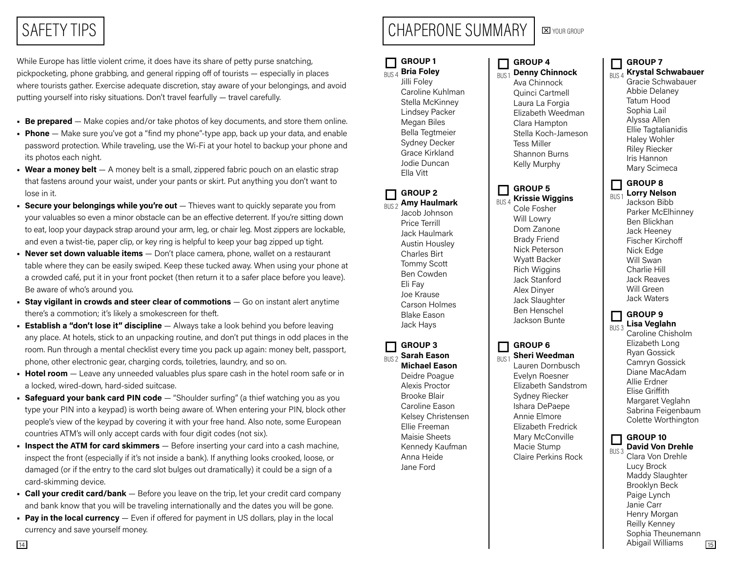# SAFETY TIPS

While Europe has little violent crime, it does have its share of petty purse snatching, pickpocketing, phone grabbing, and general ripping off of tourists — especially in places where tourists gather. Exercise adequate discretion, stay aware of your belongings, and avoid putting yourself into risky situations. Don't travel fearfully — travel carefully.

- **Be prepared** Make copies and/or take photos of key documents, and store them online.
- Phone Make sure you've got a "find my phone"-type app, back up your data, and enable password protection. While traveling, use the Wi-Fi at your hotel to backup your phone and its photos each night.
- Wear a money belt  $-$  A money belt is a small, zippered fabric pouch on an elastic strap that fastens around your waist, under your pants or skirt. Put anything you don't want to lose in it.
- **Secure your belongings while you're out**  $-$  Thieves want to quickly separate you from your valuables so even a minor obstacle can be an effective deterrent. If you're sitting down to eat, loop your daypack strap around your arm, leg, or chair leg. Most zippers are lockable, and even a twist-tie, paper clip, or key ring is helpful to keep your bag zipped up tight.
- Never set down valuable items Don't place camera, phone, wallet on a restaurant table where they can be easily swiped. Keep these tucked away. When using your phone at a crowded café, put it in your front pocket (then return it to a safer place before you leave). Be aware of who's around you.
- **Stay vigilant in crowds and steer clear of commotions**  $-$  Go on instant alert anytime there's a commotion; it's likely a smokescreen for theft.
- Establish a "don't lose it" discipline Always take a look behind you before leaving any place. At hotels, stick to an unpacking routine, and don't put things in odd places in the room. Run through a mental checklist every time you pack up again: money belt, passport, phone, other electronic gear, charging cords, toiletries, laundry, and so on.
- **Hotel room**  $-$  Leave any unneeded valuables plus spare cash in the hotel room safe or in a locked, wired-down, hard-sided suitcase.
- **Safeguard your bank card PIN code**  $-$  "Shoulder surfing" (a thief watching you as you type your PIN into a keypad) is worth being aware of. When entering your PIN, block other people's view of the keypad by covering it with your free hand. Also note, some European countries ATM's will only accept cards with four digit codes (not six).
- **Inspect the ATM for card skimmers**  $-$  Before inserting your card into a cash machine, inspect the front (especially if it's not inside a bank). If anything looks crooked, loose, or damaged (or if the entry to the card slot bulges out dramatically) it could be a sign of a card-skimming device.
- Call your credit card/bank Before you leave on the trip, let your credit card company and bank know that you will be traveling internationally and the dates you will be gone.
- Pay in the local currency Even if offered for payment in US dollars, play in the local currency and save yourself money.

#### GROUP 1 Bria Foley o

Jilli Foley Caroline Kuhlman Stella McKinney Lindsey Packer Megan Biles Bella Tegtmeier Sydney Decker Grace Kirkland Jodie Duncan Ella Vitt BUS 4

CHAPERONE SUMMARY

GROUP 2 Amy Haulmark o BUS 2

Jacob Johnson Price Terrill Jack Haulmark Austin Housley Charles Birt Tommy Scott Ben Cowden Eli Fay Joe Krause Carson Holmes Blake Eason Jack Hays

GROUP 3 Sarah Eason o

Michael Eason Deidre Poague Alexis Proctor Brooke Blair Caroline Eason Kelsey Christensen Ellie Freeman Maisie Sheets Kennedy Kaufman Anna Heide Jane Ford BUS 2

#### GROUP 4 o

Denny Chinnock Ava Chinnock Quinci Cartmell Laura La Forgia Elizabeth Weedman Clara Hampton Stella Koch-Jameson Tess Miller Shannon Burns Kelly Murphy BUS 1

#### GROUP 5 Krissie Wiggins o BUS 4

Cole Fosher Will Lowry Dom Zanone Brady Friend Nick Peterson Wyatt Backer Rich Wiggins Jack Stanford Alex Dinyer Jack Slaughter Ben Henschel Jackson Bunte

#### GROUP 6  $\Box$

BUS 1

Sheri Weedman Lauren Dornbusch Evelyn Roesner Elizabeth Sandstrom Sydney Riecker Ishara DePaepe Annie Elmore Elizabeth Fredrick Mary McConville Macie Stump Claire Perkins Rock

#### GROUP 7 o

Krystal Schwabauer Gracie Schwabauer Abbie Delaney Tatum Hood Sophia Lail Alyssa Allen Ellie Tagtalianidis Haley Wohler Riley Riecker Iris Hannon Mary Scimeca BUS 4

#### GROUP 8 Lorry Nelson o

BUS 1

Jackson Bibb Parker McElhinney Ben Blickhan Jack Heeney Fischer Kirchoff Nick Edge Will Swan Charlie Hill Jack Reaves Will Green Jack Waters

#### GROUP 9 Lisa Veglahn  $\Box$ BUS 3

Caroline Chisholm Elizabeth Long Ryan Gossick Camryn Gossick Diane MacAdam Allie Erdner Elise Griffith Margaret Veglahn Sabrina Feigenbaum Colette Worthington

#### GROUP 10 o

14 15 David Von Drehle Clara Von Drehle Lucy Brock Maddy Slaughter Brooklyn Beck Paige Lynch Janie Carr Henry Morgan Reilly Kenney Sophia Theunemann Abigail Williams **BUS** 3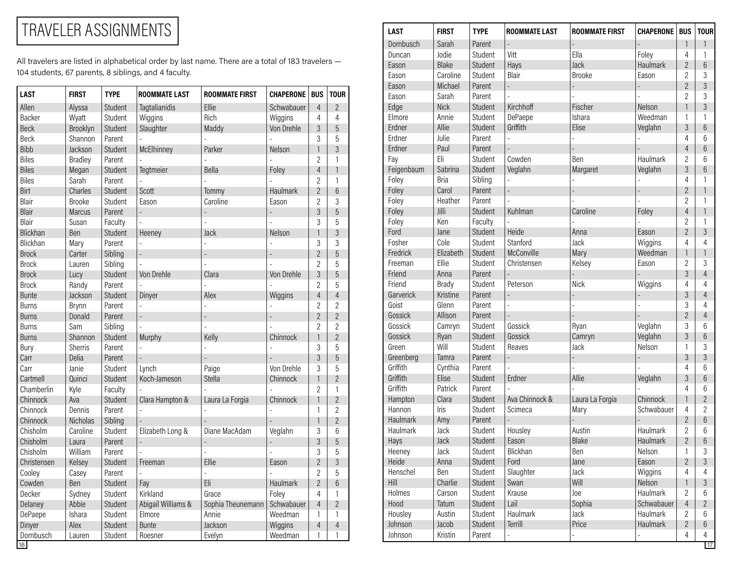## TRAVELER ASSIGNMENTS

All travelers are listed in alphabetical order by last name. There are a total of 183 travelers — 104 students, 67 parents, 8 siblings, and 4 faculty.

| <b>LAST</b>  | <b>FIRST</b>    | <b>TYPE</b> | <b>ROOMMATE LAST</b> | <b>ROOMMATE FIRST</b> | <b>CHAPERONE</b> | <b>BUS</b>     | <b>TOUR</b>    |
|--------------|-----------------|-------------|----------------------|-----------------------|------------------|----------------|----------------|
| Allen        | Alyssa          | Student     | Tagtalianidis        | Ellie                 | Schwabauer       | $\overline{4}$ | $\overline{2}$ |
| Backer       | Wyatt           | Student     | Wiggins              | Rich                  | Wiggins          | 4              | 4              |
| <b>Beck</b>  | Brooklyn        | Student     | Slaughter            | Maddy                 | Von Drehle       | 3              | 5              |
| Beck         | Shannon         | Parent      |                      |                       |                  | 3              | 5              |
| <b>Bibb</b>  | Jackson         | Student     | McElhinney           | Parker                | Nelson           | 1              | 3              |
| <b>Biles</b> | <b>Bradley</b>  | Parent      |                      |                       |                  | $\overline{c}$ | $\mathbf{1}$   |
| <b>Biles</b> | Megan           | Student     | Tegtmeier            | <b>Bella</b>          | Foley            | $\overline{4}$ | $\mathbf{1}$   |
| <b>Biles</b> | Sarah           | Parent      |                      |                       |                  | $\overline{2}$ | $\mathbf{1}$   |
| Birt         | Charles         | Student     | Scott                | Tommy                 | <b>Haulmark</b>  | $\overline{2}$ | 6              |
| Blair        | <b>Brooke</b>   | Student     | Eason                | Caroline              | Eason            | $\overline{2}$ | 3              |
| Blair        | <b>Marcus</b>   | Parent      | $\overline{a}$       |                       |                  | 3              | 5              |
| Blair        | Susan           | Faculty     |                      |                       |                  | 3              | 5              |
| Blickhan     | Ben             | Student     | Heeney               | Jack                  | Nelson           | $\mathbf{1}$   | 3              |
| Blickhan     | Mary            | Parent      |                      |                       |                  | 3              | 3              |
| <b>Brock</b> | Carter          | Sibling     | $\overline{a}$       |                       |                  | $\overline{2}$ | 5              |
| <b>Brock</b> | Lauren          | Sibling     |                      | $\overline{a}$        |                  | 2              | 5              |
| <b>Brock</b> | Lucy            | Student     | Von Drehle           | Clara                 | Von Drehle       | 3              | 5              |
| <b>Brock</b> | Randy           | Parent      |                      |                       |                  | $\overline{2}$ | 5              |
| <b>Bunte</b> | Jackson         | Student     | Dinyer               | Alex                  | Wiggins          | $\overline{4}$ | $\overline{4}$ |
| <b>Burns</b> | Brynn           | Parent      |                      |                       |                  | $\overline{2}$ | $\overline{2}$ |
| <b>Burns</b> | Donald          | Parent      | $\overline{a}$       |                       | $\overline{a}$   | $\overline{2}$ | $\overline{2}$ |
| <b>Burns</b> | Sam             | Sibling     |                      |                       |                  | $\overline{2}$ | $\overline{2}$ |
| <b>Burns</b> | Shannon         | Student     | Murphy               | Kelly                 | Chinnock         | $\mathbf{1}$   | $\overline{2}$ |
| Bury         | <b>Sherris</b>  | Parent      |                      |                       |                  | 3              | 5              |
| Carr         | Delia           | Parent      |                      |                       |                  | 3              | 5              |
| Carr         | Janie           | Student     | Lynch                | Paige                 | Von Drehle       | 3              | 5              |
| Cartmell     | Quinci          | Student     | Koch-Jameson         | Stella                | Chinnock         | $\mathbf{1}$   | $\overline{2}$ |
| Chamberlin   | Kyle            | Faculty     |                      |                       |                  | $\overline{2}$ | $\mathbf{1}$   |
| Chinnock     | Ava             | Student     | Clara Hampton &      | Laura La Forgia       | Chinnock         | $\mathbf{1}$   | $\overline{2}$ |
| Chinnock     | Dennis          | Parent      |                      |                       |                  | 1              | $\overline{2}$ |
| Chinnock     | <b>Nicholas</b> | Sibling     |                      |                       |                  | $\mathbf{1}$   | $\overline{2}$ |
| Chisholm     | Caroline        | Student     | Elizabeth Long &     | Diane MacAdam         | Veglahn          | 3              | 6              |
| Chisholm     | Laura           | Parent      | $\overline{a}$       |                       |                  | 3              | 5              |
| Chisholm     | William         | Parent      |                      | $\overline{a}$        |                  | 3              | 5              |
| Christensen  | Kelsey          | Student     | Freeman              | Ellie                 | Eason            | $\overline{2}$ | 3              |
| Cooley       | Casey           | Parent      |                      |                       |                  | $\overline{2}$ | 5              |
| Cowden       | Ben             | Student     | Fay                  | Eli                   | Haulmark         | $\overline{2}$ | 6              |
| Decker       | Sydney          | Student     | Kirkland             | Grace                 | Foley            | 4              | $\mathbf{1}$   |
| Delaney      | Abbie           | Student     | Abigail Williams &   | Sophia Theunemann     | Schwabauer       | $\overline{4}$ | $\overline{2}$ |
| DePaepe      | Ishara          | Student     | Elmore               | Annie                 | Weedman          | 1              | $\mathbf{1}$   |
| Dinyer       | Alex            | Student     | <b>Bunte</b>         | Jackson               | Wiggins          | $\overline{4}$ | $\overline{4}$ |
| Dornbusch    | Lauren          | Student     | Roesner              | Evelyn                | Weedman          | 1              | $\mathbf{1}$   |

| <b>LAST</b> | <b>FIRST</b> | <b>TYPE</b> | <b>ROOMMATE LAST</b>     | <b>ROOMMATE FIRST</b> | <b>CHAPERONE</b> | <b>BUS</b>     | <b>TOUR</b>    |
|-------------|--------------|-------------|--------------------------|-----------------------|------------------|----------------|----------------|
| Dornbusch   | Sarah        | Parent      |                          |                       |                  | $\mathbf{1}$   | 1              |
| Duncan      | Jodie        | Student     | Vitt                     | Ella                  | Foley            | 4              | 1              |
| Eason       | <b>Blake</b> | Student     | Hays                     | Jack                  | Haulmark         | $\overline{2}$ | 6              |
| Eason       | Caroline     | Student     | Blair                    | <b>Brooke</b>         | Eason            | $\overline{2}$ | 3              |
| Eason       | Michael      | Parent      | $\overline{\phantom{a}}$ |                       |                  | $\overline{2}$ | $\overline{3}$ |
| Eason       | Sarah        | Parent      |                          |                       |                  | 2              | 3              |
| Edge        | <b>Nick</b>  | Student     | Kirchhoff                | Fischer               | Nelson           | $\mathbf{1}$   | 3              |
| Elmore      | Annie        | Student     | DePaepe                  | Ishara                | Weedman          | 1              | 1              |
| Erdner      | Allie        | Student     | Griffith                 | Elise                 | Veglahn          | 3              | 6              |
| Erdner      | Julie        | Parent      | $\overline{a}$           |                       |                  | 4              | 6              |
| Erdner      | Paul         | Parent      |                          | $\overline{a}$        |                  | 4              | 6              |
| Fay         | Eli          | Student     | Cowden                   | Ben                   | Haulmark         | 2              | 6              |
| Feigenbaum  | Sabrina      | Student     | Veglahn                  | Margaret              | Veglahn          | 3              | 6              |
| Foley       | <b>Bria</b>  | Sibling     |                          |                       |                  | 4              | 1              |
| Foley       | Carol        | Parent      | $\overline{\phantom{a}}$ |                       | $\overline{a}$   | $\overline{2}$ | $\mathbf{1}$   |
| Foley       | Heather      | Parent      |                          |                       |                  | 2              | 1              |
| Foley       | Jilli        | Student     | Kuhlman                  | Caroline              | Foley            | $\overline{4}$ | $\mathbf{1}$   |
| Foley       | Ken          | Faculty     |                          |                       |                  | 2              | 1              |
| Ford        | Jane         | Student     | Heide                    | Anna                  | Eason            | $\overline{2}$ | $\overline{3}$ |
| Fosher      | Cole         | Student     | Stanford                 | Jack                  | Wiggins          | 4              | $\overline{4}$ |
| Fredrick    | Elizabeth    | Student     | McConville               | Mary                  | Weedman          | $\mathbf{1}$   | $\mathbf{1}$   |
| Freeman     | Ellie        | Student     | Christensen              | Kelsey                | Eason            | 2              | 3              |
| Friend      | Anna         | Parent      |                          |                       |                  | 3              | $\overline{4}$ |
| Friend      | Brady        | Student     | Peterson                 | <b>Nick</b>           | Wiggins          | 4              | $\overline{4}$ |
| Garverick   | Kristine     | Parent      |                          |                       |                  | 3              | $\overline{4}$ |
| Goist       | Glenn        | Parent      |                          |                       |                  | 3              | $\overline{4}$ |
| Gossick     | Allison      | Parent      |                          |                       |                  | $\overline{2}$ | $\overline{4}$ |
| Gossick     | Camryn       | Student     | Gossick                  | Ryan                  | Veglahn          | 3              | 6              |
| Gossick     | Ryan         | Student     | Gossick                  | Camryn                | Veglahn          | 3              | 6              |
| Green       | Will         | Student     | Reaves                   | Jack                  | Nelson           | 1              | 3              |
| Greenberg   | Tamra        | Parent      |                          |                       |                  | 3              | 3              |
| Griffith    | Cynthia      | Parent      |                          |                       |                  | 4              | 6              |
| Griffith    | Elise        | Student     | Erdner                   | Allie                 | Veglahn          | 3              | 6              |
| Griffith    | Patrick      | Parent      |                          |                       |                  | 4              | 6              |
| Hampton     | Clara        | Student     | Ava Chinnock &           | Laura La Forgia       | Chinnock         | $\mathbf{1}$   | $\overline{2}$ |
| Hannon      | Iris         | Student     | Scimeca                  | Mary                  | Schwabauer       | 4              | $\overline{2}$ |
| Haulmark    | Amy          | Parent      |                          |                       |                  | $\overline{2}$ | 6              |
| Haulmark    | Jack         | Student     | Housley                  | Austin                | Haulmark         | $\overline{2}$ | 6              |
| Hays        | <b>Jack</b>  | Student     | Eason                    | <b>Blake</b>          | Haulmark         | 2              | 6              |
| Heeney      | Jack         | Student     | Blickhan                 | Ben                   | Nelson           | 1              | 3              |
| Heide       | Anna         | Student     | Ford                     | Jane                  | Eason            | $\overline{2}$ | $\mathfrak{Z}$ |
| Henschel    | Ben          | Student     | Slaughter                | Jack                  | Wiggins          | $\overline{4}$ | 4              |
| Hill        | Charlie      | Student     | Swan                     | Will                  | Nelson           | $\mathbf{1}$   | $\mathfrak{Z}$ |
| Holmes      | Carson       | Student     | Krause                   | Joe                   | Haulmark         | $\overline{c}$ | 6              |
| Hood        | Tatum        | Student     | Lail                     | Sophia                | Schwabauer       | $\overline{4}$ | $\overline{2}$ |
| Housley     | Austin       | Student     | Haulmark                 | Jack                  | Haulmark         | $\overline{c}$ | 6              |
| Johnson     | Jacob        | Student     | Terrill                  | Price                 | Haulmark         | $\overline{2}$ | $6\,$          |
|             |              | Parent      |                          |                       |                  |                |                |
| Johnson     | Kristin      |             | -                        |                       |                  | 4              | 4              |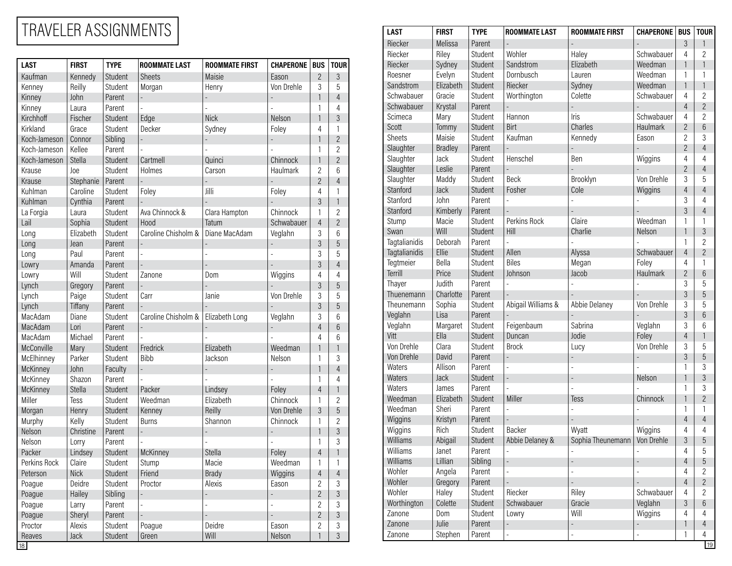## TRAVELER ASSIGNMENTS

|                 |              |             |                      |                       |                  |                |                | <b>IJICOVEI</b> | ոսեն           | oluutiil | <b>AAQLIIGI</b>    | παισγ             | <b>JULIWADAUTI</b> |                |                 |
|-----------------|--------------|-------------|----------------------|-----------------------|------------------|----------------|----------------|-----------------|----------------|----------|--------------------|-------------------|--------------------|----------------|-----------------|
| <b>LAST</b>     | <b>FIRST</b> | <b>TYPE</b> | <b>ROOMMATE LAST</b> | <b>ROOMMATE FIRST</b> | <b>CHAPERONE</b> | <b>BUS</b>     | <b>TOUR</b>    | Riecker         | Sydney         | Student  | Sandstrom          | Elizabeth         | Weedman            |                |                 |
| Kaufman         | Kennedy      | Student     | Sheets               | Maisie                | Eason            | $\overline{c}$ | $\mathfrak{Z}$ | Roesner         | Evelyn         | Student  | Dornbusch          | Lauren            | Weedman            |                |                 |
| Kenney          | Reilly       | Student     | Morgan               | Henry                 | Von Drehle       | $\mathfrak{Z}$ | 5              | Sandstrom       | Elizabeth      | Student  | Riecker            | Sydney            | Weedman            |                |                 |
| Kinney          | John         | Parent      |                      |                       |                  |                | $\overline{4}$ | Schwabauer      | Gracie         | Student  | Worthington        | Colette           | Schwabauer         | $\overline{4}$ | $\overline{2}$  |
| Kinney          | Laura        | Parent      |                      |                       |                  |                | $\overline{4}$ | Schwabauer      | Krystal        | Parent   |                    |                   |                    |                | $\overline{2}$  |
| Kirchhoff       | Fischer      | Student     | Edge                 | <b>Nick</b>           | Nelson           |                | $\mathfrak{Z}$ | Scimeca         | Mary           | Student  | Hannon             | Iris              | Schwabauer         | 4              | $\overline{2}$  |
| Kirkland        | Grace        | Student     | Decker               | Sydney                | Foley            | $\overline{4}$ |                | Scott           | Tommy          | Student  | Birt               | Charles           | Haulmark           | $\overline{2}$ | $6\phantom{1}6$ |
| Koch-Jameson    | Connor       | Sibling     |                      |                       |                  |                | $\overline{2}$ | Sheets          | Maisie         | Student  | Kaufman            | Kennedy           | Eason              | 2              | 3               |
| Koch-Jameson    | Kellee       | Parent      |                      |                       |                  | $\overline{1}$ | $\overline{2}$ | Slaughter       | <b>Bradley</b> | Parent   |                    |                   |                    | $\overline{2}$ | $\overline{4}$  |
| Koch-Jameson    | Stella       | Student     | Cartmell             | Quinci                | Chinnock         |                | $\overline{2}$ | Slaughter       | Jack           | Student  | Henschel           | Ben               | Wiggins            | 4              | $\overline{4}$  |
| Krause          | Joe          | Student     | Holmes               | Carson                | Haulmark         | $\overline{c}$ | 6              | Slaughter       | Leslie         | Parent   |                    |                   |                    | $\overline{2}$ | $\overline{4}$  |
| Krause          | Stephanie    | Parent      |                      |                       |                  | $\overline{c}$ | $\overline{4}$ | Slaughter       | Maddy          | Student  | Beck               | Brooklyn          | Von Drehle         | 3              | 5               |
| Kuhlman         | Caroline     | Student     | Foley                | Jilli                 | Foley            | $\overline{4}$ |                | Stanford        | Jack           | Student  | Fosher             | Cole              | Wiggins            |                | $\overline{4}$  |
| Kuhlman         | Cynthia      | Parent      |                      |                       |                  | $\mathfrak{Z}$ | $\overline{1}$ | Stanford        | John           | Parent   |                    |                   |                    | 3              | 4               |
| La Forgia       | Laura        | Student     | Ava Chinnock &       | Clara Hampton         | Chinnock         |                | $\overline{2}$ | Stanford        | Kimberly       | Parent   |                    |                   |                    | $\mathfrak{Z}$ | $\overline{4}$  |
| Lail            | Sophia       | Student     | Hood                 | Tatum                 | Schwabauer       | $\overline{4}$ | $\overline{2}$ | Stump           | Macie          | Student  | Perkins Rock       | Claire            | Weedman            |                |                 |
| Long            | Elizabeth    | Student     | Caroline Chisholm &  | Diane MacAdam         | Veglahn          | $\mathfrak{Z}$ | 6              | Swan            | Will           | Student  | Hill               | Charlie           | Nelson             |                | $\mathfrak{Z}$  |
| Long            | Jean         | Parent      |                      |                       |                  | $\mathfrak{Z}$ | $\overline{5}$ | Tagtalianidis   | Deborah        | Parent   |                    |                   |                    |                | $\overline{2}$  |
| Long            | Paul         | Parent      |                      |                       |                  | 3              | 5              | Tagtalianidis   | Ellie          | Student  | Allen              | Alyssa            | Schwabauer         |                | $\overline{2}$  |
| Lowry           | Amanda       | Parent      |                      |                       |                  | $\mathfrak{Z}$ |                | Tegtmeier       | Bella          | Student  | Biles              | Megan             | Foley              | 4              |                 |
| Lowry           | Will         | Student     | Zanone               | Dom                   | Wiggins          | $\overline{4}$ | 4              | Terrill         | Price          | Student  | Johnson            | Jacob             | Haulmark           |                | $6\phantom{1}6$ |
| Lynch           | Gregory      | Parent      |                      |                       |                  | $\mathfrak{Z}$ | $\overline{5}$ | Thayer          | Judith         | Parent   |                    |                   |                    | 3              | 5               |
| Lynch           | Paige        | Student     | Carr                 | Janie                 | Von Drehle       | $\sqrt{3}$     | 5              | Thuenemann      | Charlotte      | Parent   |                    |                   |                    | $\mathfrak{Z}$ | $\overline{5}$  |
| Lynch           | Tiffany      | Parent      |                      |                       |                  | $\mathfrak{Z}$ | $\overline{5}$ | Theunemann      | Sophia         | Student  | Abigail Williams & | Abbie Delaney     | Von Drehle         | 3              | 5               |
| MacAdam         | Diane        | Student     | Caroline Chisholm &  | Elizabeth Long        | Veglahn          | 3              | 6              | Veglahn         | Lisa           | Parent   |                    |                   |                    | 3              | $6\phantom{1}6$ |
| MacAdam         | Lori         | Parent      |                      |                       |                  | $\overline{4}$ | $\,6\,$        | Veglahn         | Margaret       | Student  | Feigenbaum         | Sabrina           | Veglahn            | 3              | 6               |
| MacAdam         | Michael      | Parent      |                      |                       |                  | $\overline{4}$ | $6\,$          | Vitt            | Ella           | Student  | Duncan             | Jodie             | Foley              |                |                 |
| McConville      | Mary         | Student     | Fredrick             | Elizabeth             | Weedman          |                |                | Von Drehle      | Clara          | Student  | <b>Brock</b>       | Lucy              | Von Drehle         | 3              | 5               |
| McElhinney      | Parker       | Student     | Bibb                 | Jackson               | Nelson           |                | 3              | Von Drehle      | David          | Parent   |                    |                   |                    | 3              | 5               |
| <b>McKinney</b> | John         | Faculty     |                      |                       |                  |                | $\overline{4}$ | Waters          | Allison        | Parent   |                    |                   |                    |                | 3               |
| McKinney        | Shazon       | Parent      |                      |                       |                  |                | $\overline{4}$ | Waters          | Jack           | Student  |                    |                   | Nelson             |                | $\mathfrak{Z}$  |
| <b>McKinney</b> | Stella       | Student     | Packer               | Lindsey               | Foley            | $\overline{4}$ |                | Waters          | James          | Parent   |                    |                   |                    |                | 3               |
| Miller          | Tess         | Student     | Weedman              | Elizabeth             | Chinnock         | $\overline{1}$ | $\overline{2}$ | Weedman         | Elizabeth      | Student  | Miller             | Tess              | Chinnock           |                | $\overline{2}$  |
| Morgan          | Henry        | Student     | Kenney               | Reilly                | Von Drehle       | $\mathfrak{Z}$ | $\sqrt{5}$     | Weedman         | Sheri          | Parent   |                    |                   |                    |                |                 |
| Murphy          | Kelly        | Student     | Burns                | Shannon               | Chinnock         |                | $\overline{2}$ | Wiggins         | Kristyn        | Parent   |                    |                   |                    |                | $\overline{4}$  |
| Nelson          | Christine    | Parent      |                      |                       |                  |                | $\mathfrak{Z}$ | Wiggins         | Rich           | Student  | Backer             | Wyatt             | Wiggins            | 4              | $\overline{4}$  |
| Nelson          | Lorry        | Parent      |                      |                       |                  |                | 3              | Williams        | Abigail        | Student  | Abbie Delaney &    | Sophia Theunemann | Von Drehle         | 3              | $\overline{5}$  |
| Packer          | Lindsey      | Student     | McKinney             | Stella                | Foley            | $\overline{4}$ |                | Williams        | Janet          | Parent   |                    |                   |                    |                | 5               |
| Perkins Rock    | Claire       | Student     | Stump                | Macie                 | Weedman          |                |                | Williams        | Lillian        | Sibling  |                    |                   |                    |                | $\overline{5}$  |
| Peterson        | <b>Nick</b>  | Student     | Friend               | <b>Brady</b>          | Wiggins          | $\overline{4}$ | $\overline{4}$ | Wohler          | Angela         | Parent   |                    |                   |                    | 4              | $\overline{2}$  |
| Poague          | Deidre       | Student     | Proctor              | Alexis                | Eason            | 2              | 3              | Wohler          | Gregory        | Parent   |                    |                   |                    | $\overline{4}$ | $\overline{2}$  |
| Poague          | Hailey       | Sibling     |                      |                       |                  | $\overline{c}$ | $\mathfrak{Z}$ | Wohler          | Haley          | Student  | Riecker            | Riley             | Schwabauer         | 4              | $\overline{2}$  |
| Poague          | Larry        | Parent      |                      |                       |                  | $\overline{c}$ | 3              | Worthington     | Colette        | Student  | Schwabauer         | Gracie            | Veglahn            | 3              | $6\phantom{1}6$ |
| Poague          | Sheryl       | Parent      |                      |                       |                  | $\overline{c}$ | $\sqrt{3}$     | Zanone          | Dom            | Student  | Lowry              | Will              | Wiggins            | 4              | 4               |
| Proctor         | Alexis       | Student     | Poague               | Deidre                | Eason            | $\overline{2}$ | 3              | Zanone          | Julie          | Parent   |                    | ÷,                |                    |                | $\overline{4}$  |
| Reaves          | Jack         | Student     | Green                | Will                  | Nelson           |                | $\mathfrak{Z}$ | Zanone          | Stephen        | Parent   |                    |                   |                    | $\overline{1}$ | 4               |
| 18              |              |             |                      |                       |                  |                |                |                 |                |          |                    |                   |                    |                | 19              |

| <b>LAST</b>   | <b>FIRST</b>   | <b>TYPE</b> | <b>ROOMMATE LAST</b>     | <b>ROOMMATE FIRST</b>          | <b>CHAPERONE   BUS</b>   |                | <b>TOUR</b>     |
|---------------|----------------|-------------|--------------------------|--------------------------------|--------------------------|----------------|-----------------|
| Riecker       | Melissa        | Parent      |                          |                                |                          | 3              | 1               |
| Riecker       | Riley          | Student     | Wohler                   | Haley                          | Schwabauer               | 4              | $\overline{2}$  |
| Riecker       | Sydney         | Student     | Sandstrom                | Elizabeth                      | Weedman                  | $\mathbf{1}$   | 1               |
| Roesner       | Evelyn         | Student     | Dornbusch                | Lauren                         | Weedman                  | 1              | $\mathbf{1}$    |
| Sandstrom     | Elizabeth      | Student     | Riecker                  | Sydney                         | Weedman                  | $\mathbf{1}$   | 1               |
| Schwabauer    | Gracie         | Student     | Worthington              | Colette                        | Schwabauer               | 4              | $\overline{2}$  |
| Schwabauer    | Krystal        | Parent      |                          | $\overline{\phantom{m}}$       |                          | $\overline{4}$ | $\overline{2}$  |
| Scimeca       | Mary           | Student     | Hannon                   | Iris                           | Schwabauer               | 4              | $\overline{2}$  |
| Scott         | Tommy          | Student     | Birt                     | Charles                        | <b>Haulmark</b>          | $\overline{2}$ | $6\phantom{a}$  |
| <b>Sheets</b> | Maisie         | Student     | Kaufman                  | Kennedy                        | Eason                    | 2              | 3               |
| Slaughter     | <b>Bradley</b> | Parent      |                          |                                | $\overline{\phantom{a}}$ | $\overline{2}$ | $\overline{4}$  |
| Slaughter     | Jack           | Student     | Henschel                 | Ben                            | Wiggins                  | 4              | 4               |
| Slaughter     | Leslie         | Parent      |                          |                                |                          | $\overline{2}$ | $\overline{4}$  |
| Slaughter     | Maddy          | Student     | Beck                     | Brooklyn                       | Von Drehle               | 3              | 5               |
| Stanford      | Jack           | Student     | Fosher                   | Cole                           | Wiggins                  | $\overline{4}$ | $\overline{4}$  |
| Stanford      | John           | Parent      |                          | $\overline{a}$                 |                          | 3              | 4               |
| Stanford      | Kimberly       | Parent      |                          |                                |                          | 3              | $\overline{4}$  |
| Stump         | Macie          | Student     | Perkins Rock             | Claire                         | Weedman                  | 1              | $\mathbf{1}$    |
| Swan          | Will           | Student     | Hill                     | Charlie                        | Nelson                   | $\mathbf{1}$   | 3               |
| Tagtalianidis | Deborah        | Parent      |                          |                                |                          | 1              | $\overline{2}$  |
| Tagtalianidis | Ellie          | Student     | Allen                    | Alyssa                         | Schwabauer               | $\overline{4}$ | $\overline{2}$  |
| Tegtmeier     | Bella          | Student     | <b>Biles</b>             | Megan                          | Foley                    | 4              | 1               |
| Terrill       | Price          | Student     | Johnson                  | Jacob                          | Haulmark                 | $\overline{2}$ | 6               |
| Thayer        | Judith         | Parent      |                          |                                |                          | 3              | 5               |
| Thuenemann    | Charlotte      | Parent      |                          |                                |                          | 3              | 5               |
| Theunemann    | Sophia         | Student     | Abigail Williams &       | Abbie Delaney                  | Von Drehle               | 3              | $\overline{5}$  |
| Veglahn       | Lisa           | Parent      |                          |                                |                          | 3              | 6               |
| Veglahn       | Margaret       | Student     | Feigenbaum               | Sabrina                        | Veglahn                  | 3              | $6\overline{6}$ |
| Vitt          | Ella           | Student     | Duncan                   | Jodie                          | Foley                    | $\overline{4}$ | $\mathbf{1}$    |
| Von Drehle    | Clara          | Student     | <b>Brock</b>             | Lucy                           | Von Drehle               | 3              | 5               |
| Von Drehle    | David          | Parent      | $\overline{a}$           | $\overline{a}$                 | $\overline{a}$           | 3              | 5               |
| Waters        | Allison        | Parent      | $\overline{a}$           | $\overline{a}$                 | $\overline{a}$           | 1              | 3               |
| Waters        | <b>Jack</b>    | Student     | $\overline{a}$           | ÷,                             | Nelson                   | $\mathbf{1}$   | 3               |
| Waters        | James          | Parent      | $\overline{a}$           | $\overline{a}$                 |                          | 1              | 3               |
| Weedman       | Elizabeth      | Student     | Miller                   | Tess                           | Chinnock                 | $\mathbf{1}$   | $\overline{2}$  |
| Weedman       | Sheri          | Parent      | $\overline{a}$           | $\overline{a}$                 |                          | 1              | 1               |
| Wiggins       | Kristyn        | Parent      |                          |                                |                          | $\overline{4}$ | $\overline{4}$  |
| Wiggins       | Rich           | Student     | Backer                   | Wyatt                          | Wiggins                  | 4              | 4               |
| Williams      | Abigail        | Student     | Abbie Delaney &          | Sophia Theunemann   Von Drehle |                          | 3              | 5               |
| Williams      | Janet          | Parent      | $\overline{a}$           |                                |                          | 4              | 5               |
| Williams      | Lillian        | Sibling     | $\overline{\phantom{a}}$ | ÷,                             | $\overline{a}$           | $\overline{4}$ | 5               |
| Wohler        | Angela         | Parent      | $\overline{a}$           | $\frac{1}{2}$                  |                          | 4              | $\overline{c}$  |
| Wohler        | Gregory        | Parent      |                          |                                |                          | $\overline{4}$ | $\overline{2}$  |
| Wohler        | Haley          | Student     | Riecker                  | Riley                          | Schwabauer               | 4              | $\overline{2}$  |
| Worthington   | Colette        | Student     | Schwabauer               | Gracie                         | Veglahn                  | $\mathfrak{Z}$ | $6\,$           |
| Zanone        | Dom            | Student     | Lowry                    | Will                           | Wiggins                  | 4              | 4               |
| Zanone        | Julie          | Parent      | ÷,                       | $\overline{a}$                 | $\overline{\phantom{0}}$ | 1              | $\overline{4}$  |
| Zanone        | Stephen        | Parent      | $\overline{a}$           | $\frac{1}{2}$                  | $\overline{a}$           | 1              | 4               |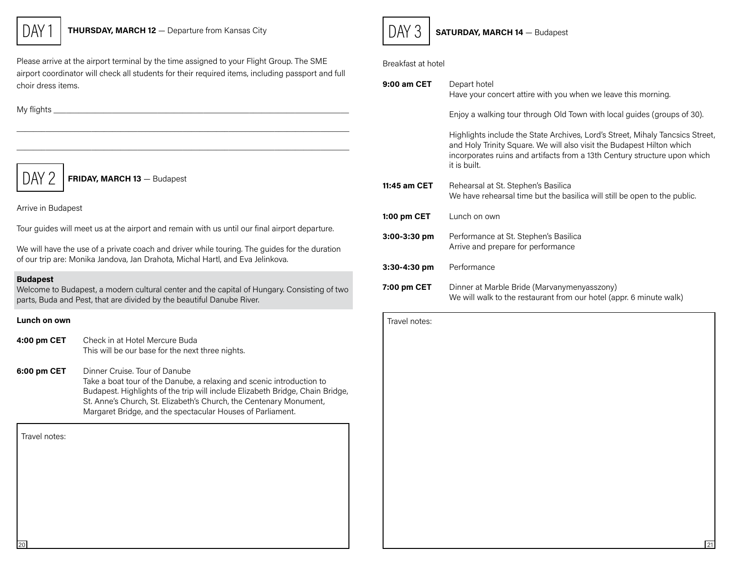

Please arrive at the airport terminal by the time assigned to your Flight Group. The SME airport coordinator will check all students for their required items, including passport and full choir dress items.

 $\mathcal{L}_\mathcal{L} = \mathcal{L}_\mathcal{L} = \mathcal{L}_\mathcal{L} = \mathcal{L}_\mathcal{L} = \mathcal{L}_\mathcal{L} = \mathcal{L}_\mathcal{L} = \mathcal{L}_\mathcal{L} = \mathcal{L}_\mathcal{L} = \mathcal{L}_\mathcal{L} = \mathcal{L}_\mathcal{L} = \mathcal{L}_\mathcal{L} = \mathcal{L}_\mathcal{L} = \mathcal{L}_\mathcal{L} = \mathcal{L}_\mathcal{L} = \mathcal{L}_\mathcal{L} = \mathcal{L}_\mathcal{L} = \mathcal{L}_\mathcal{L}$  $\mathcal{L}_\mathcal{L} = \mathcal{L}_\mathcal{L} = \mathcal{L}_\mathcal{L} = \mathcal{L}_\mathcal{L} = \mathcal{L}_\mathcal{L} = \mathcal{L}_\mathcal{L} = \mathcal{L}_\mathcal{L} = \mathcal{L}_\mathcal{L} = \mathcal{L}_\mathcal{L} = \mathcal{L}_\mathcal{L} = \mathcal{L}_\mathcal{L} = \mathcal{L}_\mathcal{L} = \mathcal{L}_\mathcal{L} = \mathcal{L}_\mathcal{L} = \mathcal{L}_\mathcal{L} = \mathcal{L}_\mathcal{L} = \mathcal{L}_\mathcal{L}$ 

My flights \_\_\_\_\_\_\_\_\_\_\_\_\_\_\_\_\_\_\_\_\_\_\_\_\_\_\_\_\_\_\_\_\_\_\_\_\_\_\_\_\_\_\_\_\_\_\_\_\_\_\_\_\_\_\_\_\_\_\_\_\_\_\_\_\_\_\_\_\_\_\_

 $\overline{DAY}$  / FRIDAY, MARCH 13 - Budapest

Arrive in Budapest

Tour guides will meet us at the airport and remain with us until our final airport departure.

We will have the use of a private coach and driver while touring. The guides for the duration of our trip are: Monika Jandova, Jan Drahota, Michal Hartl, and Eva Jelinkova.

#### Budapest

Welcome to Budapest, a modern cultural center and the capital of Hungary. Consisting of two parts, Buda and Pest, that are divided by the beautiful Danube River.

#### Lunch on own

| 4:00 pm CET | Check in at Hotel Mercure Buda                   |
|-------------|--------------------------------------------------|
|             | This will be our base for the next three nights. |



 $\overline{DAY}$  3 | SATURDAY, MARCH 14  $-$  Budapest

Breakfast at hotel

| 9:00 am CET  | Depart hotel<br>Have your concert attire with you when we leave this morning.                                                                                                                                                                       |
|--------------|-----------------------------------------------------------------------------------------------------------------------------------------------------------------------------------------------------------------------------------------------------|
|              | Enjoy a walking tour through Old Town with local guides (groups of 30).                                                                                                                                                                             |
|              | Highlights include the State Archives, Lord's Street, Mihaly Tancsics Street,<br>and Holy Trinity Square. We will also visit the Budapest Hilton which<br>incorporates ruins and artifacts from a 13th Century structure upon which<br>it is built. |
| 11:45 am CET | Rehearsal at St. Stephen's Basilica<br>We have rehearsal time but the basilica will still be open to the public.                                                                                                                                    |
| 1:00 pm CET  | Lunch on own                                                                                                                                                                                                                                        |
| 3:00-3:30 pm | Performance at St. Stephen's Basilica<br>Arrive and prepare for performance                                                                                                                                                                         |
| 3:30-4:30 pm | Performance                                                                                                                                                                                                                                         |
| 7:00 pm CET  | Dinner at Marble Bride (Marvanymenyasszony)<br>We will walk to the restaurant from our hotel (appr. 6 minute walk)                                                                                                                                  |

| Lunch on own    |                                                                                                                                                                                                                                                                                                                             | Travel notes: |    |
|-----------------|-----------------------------------------------------------------------------------------------------------------------------------------------------------------------------------------------------------------------------------------------------------------------------------------------------------------------------|---------------|----|
| 1:00 pm CET     | Check in at Hotel Mercure Buda<br>This will be our base for the next three nights.                                                                                                                                                                                                                                          |               |    |
| $6:00$ pm CET   | Dinner Cruise. Tour of Danube<br>Take a boat tour of the Danube, a relaxing and scenic introduction to<br>Budapest. Highlights of the trip will include Elizabeth Bridge, Chain Bridge,<br>St. Anne's Church, St. Elizabeth's Church, the Centenary Monument,<br>Margaret Bridge, and the spectacular Houses of Parliament. |               |    |
| Travel notes:   |                                                                                                                                                                                                                                                                                                                             |               |    |
| $\overline{20}$ |                                                                                                                                                                                                                                                                                                                             |               | 21 |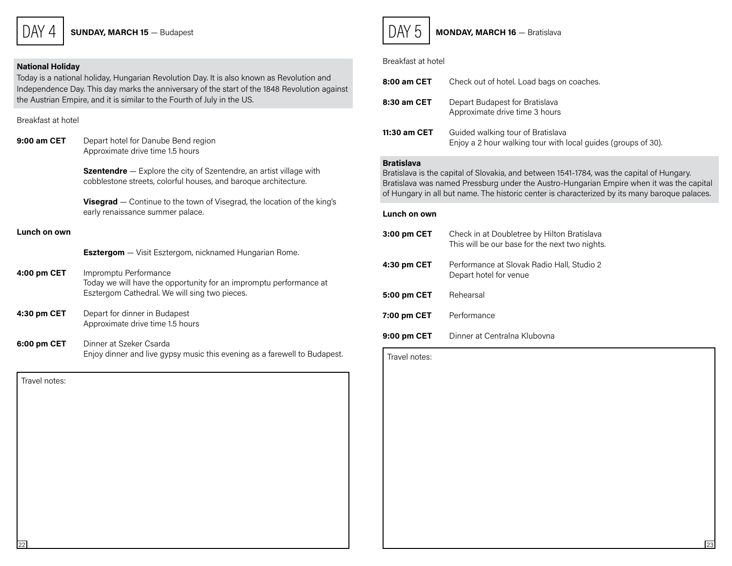$\overline{DAY}$  4 | SUNDAY, MARCH 15 - Budapest

#### National Holiday

Today is a national holiday, Hungarian Revolution Day. It is also known as Revolution and Independence Day. This day marks the anniversary of the start of the 1848 Revolution against the Austrian Empire, and it is similar to the Fourth of July in the US.

Breakfast at hotel

9:00 am CET Depart hotel for Danube Bend region Approximate drive time 1.5 hours **Szentendre** – Explore the city of Szentendre, an artist village with cobblestone streets, colorful houses, and baroque architecture. Visegrad – Continue to the town of Visegrad, the location of the king's early renaissance summer palace. Lunch on own

**Esztergom** - Visit Esztergom, nicknamed Hungarian Rome.

- 4:00 pm CET Impromptu Performance Today we will have the opportunity for an impromptu performance at Esztergom Cathedral. We will sing two pieces.
- 4:30 pm CET Depart for dinner in Budapest Approximate drive time 1.5 hours
- 6:00 pm CET Dinner at Szeker Csarda Enjoy dinner and live gypsy music this evening as a farewell to Budapest.

 $22$ Travel notes:



 $DAY 5$  MONDAY, MARCH 16 - Bratislava

#### Breakfast at hotel

| 8:00 am CET  | Check out of hotel. Load bags on coaches.                                                          |
|--------------|----------------------------------------------------------------------------------------------------|
| 8:30 am CET  | Depart Budapest for Bratislava<br>Approximate drive time 3 hours                                   |
| 11:30 am CET | Guided walking tour of Bratislava<br>Enjoy a 2 hour walking tour with local guides (groups of 30). |

#### Bratislava

Bratislava is the capital of Slovakia, and between 1541-1784, was the capital of Hungary. Bratislava was named Pressburg under the Austro-Hungarian Empire when it was the capital of Hungary in all but name. The historic center is characterized by its many baroque palaces.

#### Lunch on own

| 3:00 pm CET | Check in at Doubletree by Hilton Bratislava<br>This will be our base for the next two nights. |
|-------------|-----------------------------------------------------------------------------------------------|
| 4:30 pm CET | Performance at Slovak Radio Hall, Studio 2<br>Depart hotel for venue                          |
| 5:00 pm CET | Rehearsal                                                                                     |
| 7:00 pm CET | Performance                                                                                   |
| 9:00 pm CET | Dinner at Centralna Klubovna                                                                  |

Travel notes: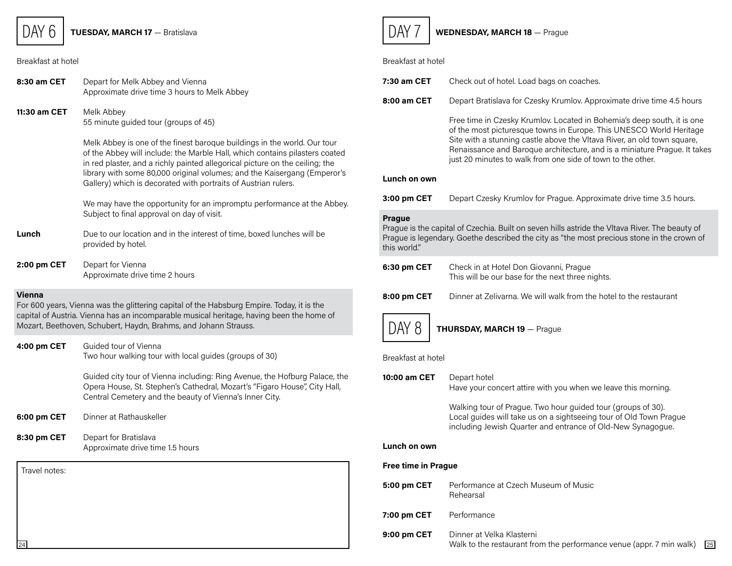### $DAY 6$  TUESDAY, MARCH 17 - Bratislava

#### Breakfast at hotel

| 8:30 am CET   | Depart for Melk Abbey and Vienna<br>Approximate drive time 3 hours to Melk Abbey                                                                                                                                                                                                                                                                                                      |
|---------------|---------------------------------------------------------------------------------------------------------------------------------------------------------------------------------------------------------------------------------------------------------------------------------------------------------------------------------------------------------------------------------------|
| 11:30 am CET  | Melk Abbey<br>55 minute guided tour (groups of 45)                                                                                                                                                                                                                                                                                                                                    |
|               | Melk Abbey is one of the finest baroque buildings in the world. Our tour<br>of the Abbey will include: the Marble Hall, which contains pilasters coated<br>in red plaster, and a richly painted allegorical picture on the ceiling; the<br>library with some 80,000 original volumes; and the Kaisergang (Emperor's<br>Gallery) which is decorated with portraits of Austrian rulers. |
|               | We may have the opportunity for an impromptu performance at the Abbey.<br>Subject to final approval on day of visit.                                                                                                                                                                                                                                                                  |
| Lunch         | Due to our location and in the interest of time, boxed lunches will be<br>provided by hotel.                                                                                                                                                                                                                                                                                          |
| 2:00 pm CET   | Depart for Vienna<br>Approximate drive time 2 hours                                                                                                                                                                                                                                                                                                                                   |
| <b>Vienna</b> | For 600 years, Vienna was the glittering capital of the Habsburg Empire. Today, it is the<br>capital of Austria. Vienna has an incomparable musical heritage, having been the home of<br>Mozart, Beethoven, Schubert, Haydn, Brahms, and Johann Strauss.                                                                                                                              |
| 4:00 pm CET   | Guided tour of Vienna<br>Two hour walking tour with local guides (groups of 30)                                                                                                                                                                                                                                                                                                       |
|               | Guided city tour of Vienna including: Ring Avenue, the Hofburg Palace, the<br>Opera House, St. Stephen's Cathedral, Mozart's "Figaro House", City Hall,<br>Central Cemetery and the beauty of Vienna's Inner City.                                                                                                                                                                    |
| 6:00 pm CET   | Dinner at Rathauskeller                                                                                                                                                                                                                                                                                                                                                               |
| 8:30 pm CET   | Depart for Bratislava<br>Approximate drive time 1.5 hours                                                                                                                                                                                                                                                                                                                             |
| Travel notes: |                                                                                                                                                                                                                                                                                                                                                                                       |
|               |                                                                                                                                                                                                                                                                                                                                                                                       |
|               |                                                                                                                                                                                                                                                                                                                                                                                       |



### $\overline{DAY}$  / WEDNESDAY, MARCH 18 - Prague

### Breakfast at hotel

| 7:30 am CET                                                                                                                                                                                                                   | Check out of hotel. Load bags on coaches.                                                                                                                                                                                                                                                                                                                             |  |
|-------------------------------------------------------------------------------------------------------------------------------------------------------------------------------------------------------------------------------|-----------------------------------------------------------------------------------------------------------------------------------------------------------------------------------------------------------------------------------------------------------------------------------------------------------------------------------------------------------------------|--|
| 8:00 am CET                                                                                                                                                                                                                   | Depart Bratislava for Czesky Krumlov. Approximate drive time 4.5 hours                                                                                                                                                                                                                                                                                                |  |
|                                                                                                                                                                                                                               | Free time in Czesky Krumlov. Located in Bohemia's deep south, it is one<br>of the most picturesque towns in Europe. This UNESCO World Heritage<br>Site with a stunning castle above the Vltava River, an old town square,<br>Renaissance and Baroque architecture, and is a miniature Prague. It takes<br>just 20 minutes to walk from one side of town to the other. |  |
| Lunch on own                                                                                                                                                                                                                  |                                                                                                                                                                                                                                                                                                                                                                       |  |
| 3:00 pm CET                                                                                                                                                                                                                   | Depart Czesky Krumlov for Prague. Approximate drive time 3.5 hours.                                                                                                                                                                                                                                                                                                   |  |
| <b>Prague</b><br>Prague is the capital of Czechia. Built on seven hills astride the Vltava River. The beauty of<br>Prague is legendary. Goethe described the city as "the most precious stone in the crown of<br>this world." |                                                                                                                                                                                                                                                                                                                                                                       |  |
| 6:30 pm CET                                                                                                                                                                                                                   | Check in at Hotel Don Giovanni, Prague<br>This will be our base for the next three nights.                                                                                                                                                                                                                                                                            |  |
| 8:00 pm CET                                                                                                                                                                                                                   | Dinner at Zelivarna. We will walk from the hotel to the restaurant                                                                                                                                                                                                                                                                                                    |  |
| DAY 8                                                                                                                                                                                                                         | <b>THURSDAY, MARCH 19 - Prague</b>                                                                                                                                                                                                                                                                                                                                    |  |
|                                                                                                                                                                                                                               |                                                                                                                                                                                                                                                                                                                                                                       |  |
| Breakfast at hotel                                                                                                                                                                                                            |                                                                                                                                                                                                                                                                                                                                                                       |  |
| 10:00 am CET                                                                                                                                                                                                                  | Depart hotel<br>Have your concert attire with you when we leave this morning.                                                                                                                                                                                                                                                                                         |  |
|                                                                                                                                                                                                                               | Walking tour of Prague. Two hour guided tour (groups of 30).<br>Local guides will take us on a sightseeing tour of Old Town Prague<br>including Jewish Quarter and entrance of Old-New Synagogue.                                                                                                                                                                     |  |
| Lunch on own                                                                                                                                                                                                                  |                                                                                                                                                                                                                                                                                                                                                                       |  |
| Free time in Prague                                                                                                                                                                                                           |                                                                                                                                                                                                                                                                                                                                                                       |  |
| 5:00 pm CET                                                                                                                                                                                                                   | Performance at Czech Museum of Music<br>Rehearsal                                                                                                                                                                                                                                                                                                                     |  |

9:00 pm CET Dinner at Velka Klasterni  $\frac{24}{124}$  Walk to the restaurant from the performance venue (appr. 7 min walk)  $\frac{25}{25}$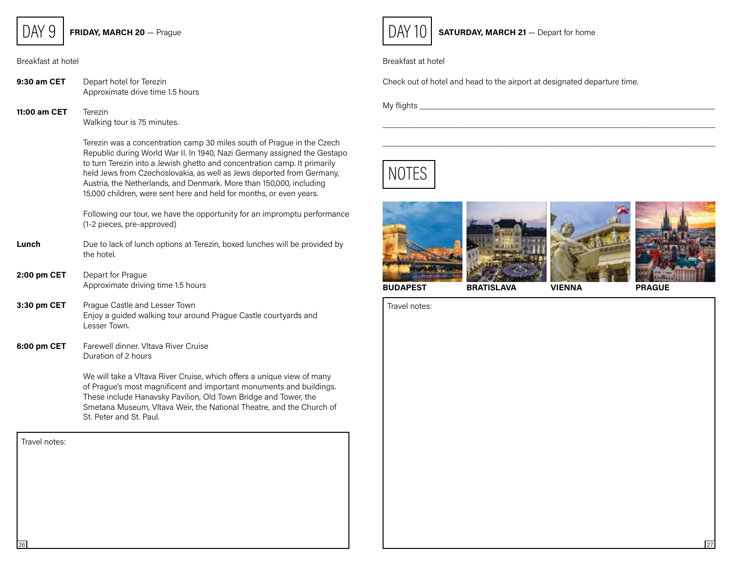$DAY$  9 FRIDAY, MARCH 20 - Prague

Breakfast at hotel

9:30 am CET Depart hotel for Terezin Approximate drive time 1.5 hours

11:00 am CET Terezin Walking tour is 75 minutes.

> Terezin was a concentration camp 30 miles south of Prague in the Czech Republic during World War II. In 1940, Nazi Germany assigned the Gestapo to turn Terezin into a Jewish ghetto and concentration camp. It primarily held Jews from Czechoslovakia, as well as Jews deported from Germany, Austria, the Netherlands, and Denmark. More than 150,000, including 15,000 children, were sent here and held for months, or even years.

> Following our tour, we have the opportunity for an impromptu performance (1-2 pieces, pre-approved)

- **Lunch** Due to lack of lunch options at Terezin, boxed lunches will be provided by the hotel.
- 2:00 pm CET Depart for Prague Approximate driving time 1.5 hours
- **3:30 pm CET** Prague Castle and Lesser Town Enjoy a guided walking tour around Prague Castle courtyards and Lesser Town.
- 6:00 pm CET Farewell dinner. Vitava River Cruise Duration of 2 hours

We will take a Vltava River Cruise, which offers a unique view of many of Prague's most magnificent and important monuments and buildings. These include Hanavsky Pavilion, Old Town Bridge and Tower, the Smetana Museum, Vltava Weir, the National Theatre, and the Church of St. Peter and St. Paul.

Travel notes: 26



 $\overline{DAY}$  10 SATURDAY, MARCH 21 - Depart for home

#### Breakfast at hotel

Check out of hotel and head to the airport at designated departure time.

My flights \_\_\_\_\_\_\_\_\_\_\_\_\_\_\_\_\_\_\_\_\_\_\_\_\_\_\_\_\_\_\_\_\_\_\_\_\_\_\_\_\_\_\_\_\_\_\_\_\_\_\_\_\_\_\_\_\_\_\_\_\_\_\_\_\_\_\_\_\_\_\_





 $\mathcal{L}_\mathcal{L} = \mathcal{L}_\mathcal{L} = \mathcal{L}_\mathcal{L} = \mathcal{L}_\mathcal{L} = \mathcal{L}_\mathcal{L} = \mathcal{L}_\mathcal{L} = \mathcal{L}_\mathcal{L} = \mathcal{L}_\mathcal{L} = \mathcal{L}_\mathcal{L} = \mathcal{L}_\mathcal{L} = \mathcal{L}_\mathcal{L} = \mathcal{L}_\mathcal{L} = \mathcal{L}_\mathcal{L} = \mathcal{L}_\mathcal{L} = \mathcal{L}_\mathcal{L} = \mathcal{L}_\mathcal{L} = \mathcal{L}_\mathcal{L}$  $\mathcal{L}_\mathcal{L} = \mathcal{L}_\mathcal{L} = \mathcal{L}_\mathcal{L} = \mathcal{L}_\mathcal{L} = \mathcal{L}_\mathcal{L} = \mathcal{L}_\mathcal{L} = \mathcal{L}_\mathcal{L} = \mathcal{L}_\mathcal{L} = \mathcal{L}_\mathcal{L} = \mathcal{L}_\mathcal{L} = \mathcal{L}_\mathcal{L} = \mathcal{L}_\mathcal{L} = \mathcal{L}_\mathcal{L} = \mathcal{L}_\mathcal{L} = \mathcal{L}_\mathcal{L} = \mathcal{L}_\mathcal{L} = \mathcal{L}_\mathcal{L}$ 

BUDAPEST BRATISLAVA VIENNA PRAGUE

Travel notes: